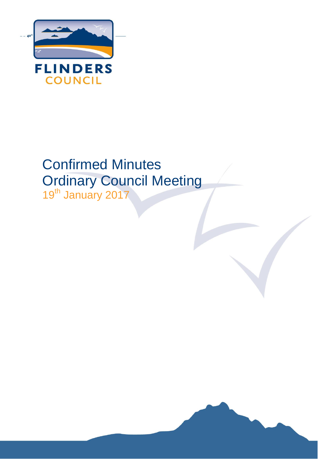

# Confirmed Minutes Ordinary Council Meeting 19<sup>th</sup> January 2017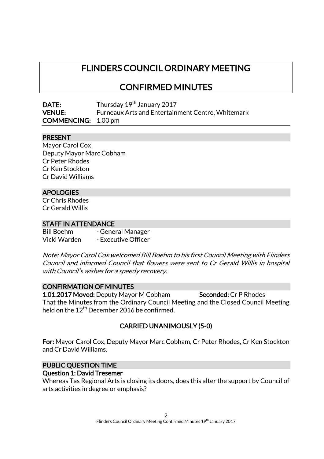# FLINDERS COUNCIL ORDINARY MEETING

# CONFIRMED MINUTES

| DATE:                      | Thursday 19 <sup>th</sup> January 2017                   |
|----------------------------|----------------------------------------------------------|
| <b>VENUE:</b>              | <b>Furneaux Arts and Entertainment Centre, Whitemark</b> |
| <b>COMMENCING:</b> 1.00 pm |                                                          |

#### PRESENT

Mayor Carol Cox Deputy Mayor Marc Cobham Cr Peter Rhodes Cr Ken Stockton Cr David Williams

#### APOLOGIES

Cr Chris Rhodes Cr Gerald Willis

#### STAFF IN ATTENDANCE

Bill Boehm - General Manager Vicki Warden - Executive Officer

Note: Mayor Carol Cox welcomed Bill Boehm to his first Council Meeting with Flinders Council and informed Council that flowers were sent to Cr Gerald Willis in hospital with Council's wishes for a speedy recovery.

#### CONFIRMATION OF MINUTES

1.01.2017 Moved: Deputy Mayor M Cobham Seconded: Cr P Rhodes That the Minutes from the Ordinary Council Meeting and the Closed Council Meeting held on the  $12^{\mathsf{th}}$  December 2016 be confirmed.

# CARRIED UNANIMOUSLY (5-0)

For: Mayor Carol Cox, Deputy Mayor Marc Cobham, Cr Peter Rhodes, Cr Ken Stockton and Cr David Williams.

# PUBLIC QUESTION TIME

#### Question 1: David Tresemer

Whereas Tas Regional Arts is closing its doors, does this alter the support by Council of arts activities in degree or emphasis?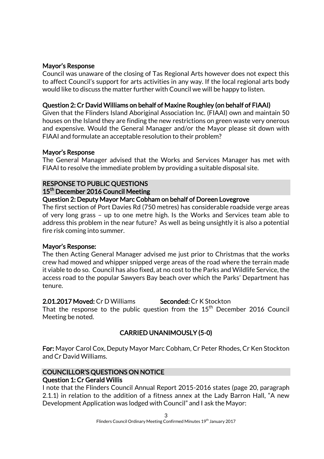#### Mayor's Response

Council was unaware of the closing of Tas Regional Arts however does not expect this to affect Council's support for arts activities in any way. If the local regional arts body would like to discuss the matter further with Council we will be happy to listen.

#### Question 2: Cr David Williams on behalf of Maxine Roughley (on behalf of FIAAI)

Given that the Flinders Island Aboriginal Association Inc. (FIAAI) own and maintain 50 houses on the Island they are finding the new restrictions on green waste very onerous and expensive. Would the General Manager and/or the Mayor please sit down with FIAAI and formulate an acceptable resolution to their problem?

#### Mayor's Response

The General Manager advised that the Works and Services Manager has met with FIAAI to resolve the immediate problem by providing a suitable disposal site.

# RESPONSE TO PUBLIC QUESTIONS

#### 15<sup>th</sup> December 2016 Council Meeting

#### Question 2: Deputy Mayor Marc Cobham on behalf of Doreen Lovegrove

The first section of Port Davies Rd (750 metres) has considerable roadside verge areas of very long grass – up to one metre high. Is the Works and Services team able to address this problem in the near future? As well as being unsightly it is also a potential fire risk coming into summer.

#### Mayor's Response:

The then Acting General Manager advised me just prior to Christmas that the works crew had mowed and whipper snipped verge areas of the road where the terrain made it viable to do so. Council has also fixed, at no cost to the Parks and Wildlife Service, the access road to the popular Sawyers Bay beach over which the Parks' Department has tenure.

2.01.2017 Moved: Cr D Williams Seconded: Cr K Stockton That the response to the public question from the  $15<sup>th</sup>$  December 2016 Council

Meeting be noted.

# CARRIED UNANIMOUSLY (5-0)

For: Mayor Carol Cox, Deputy Mayor Marc Cobham, Cr Peter Rhodes, Cr Ken Stockton and Cr David Williams.

#### COUNCILLOR'S QUESTIONS ON NOTICE Question 1: Cr Gerald Willis

I note that the Flinders Council Annual Report 2015-2016 states (page 20, paragraph 2.1.1) in relation to the addition of a fitness annex at the Lady Barron Hall, "A new Development Application was lodged with Council" and I ask the Mayor: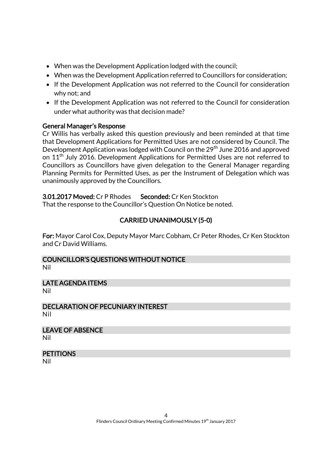- When was the Development Application lodged with the council;
- When was the Development Application referred to Councillors for consideration;
- If the Development Application was not referred to the Council for consideration why not; and
- If the Development Application was not referred to the Council for consideration under what authority was that decision made?

# General Manager's Response

Cr Willis has verbally asked this question previously and been reminded at that time that Development Applications for Permitted Uses are not considered by Council. The Development Application was lodged with Council on the 29<sup>th</sup> June 2016 and approved on 11<sup>th</sup> July 2016. Development Applications for Permitted Uses are not referred to Councillors as Councillors have given delegation to the General Manager regarding Planning Permits for Permitted Uses, as per the Instrument of Delegation which was unanimously approved by the Councillors.

# 3.01.2017 Moved: Cr P Rhodes Seconded: Cr Ken Stockton

That the response to the Councillor's Question On Notice be noted.

# CARRIED UNANIMOUSLY (5-0)

For: Mayor Carol Cox, Deputy Mayor Marc Cobham, Cr Peter Rhodes, Cr Ken Stockton and Cr David Williams.

#### COUNCILLOR'S QUESTIONS WITHOUT NOTICE Nil

LATE AGENDA ITEMS Nil

DECLARATION OF PECUNIARY INTEREST Nil

LEAVE OF ABSENCE Nil

# **PETITIONS**

Nil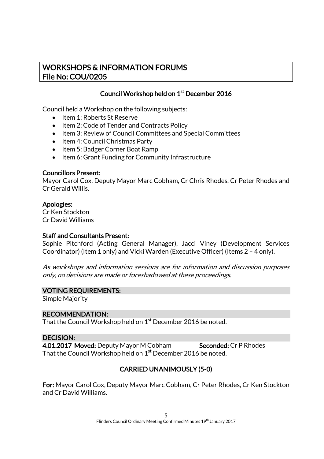# WORKSHOPS & INFORMATION FORUMS File No: COU/0205

# Council Workshop held on 1<sup>st</sup> December 2016

Council held a Workshop on the following subjects:

- Item 1: Roberts St Reserve
- Item 2: Code of Tender and Contracts Policy
- Item 3: Review of Council Committees and Special Committees
- Item 4: Council Christmas Party
- Item 5: Badger Corner Boat Ramp
- Item 6: Grant Funding for Community Infrastructure

#### Councillors Present:

Mayor Carol Cox, Deputy Mayor Marc Cobham, Cr Chris Rhodes, Cr Peter Rhodes and Cr Gerald Willis.

#### Apologies:

Cr Ken Stockton Cr David Williams

#### Staff and Consultants Present:

Sophie Pitchford (Acting General Manager), Jacci Viney (Development Services Coordinator) (Item 1 only) and Vicki Warden (Executive Officer) (Items 2 – 4 only).

As workshops and information sessions are for information and discussion purposes only, no decisions are made or foreshadowed at these proceedings.

#### VOTING REQUIREMENTS:

Simple Majority

#### RECOMMENDATION:

That the Council Workshop held on  $1^{\rm st}$  December 2016 be noted.

#### DECISION:

4.01.2017 Moved: Deputy Mayor M Cobham Seconded: Cr P Rhodes That the Council Workshop held on  $1^{\rm st}$  December 2016 be noted.

# CARRIED UNANIMOUSLY (5-0)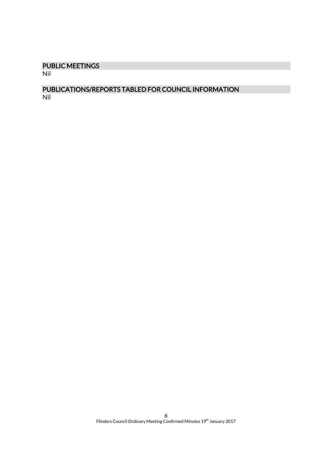# PUBLIC MEETINGS

Nil

# PUBLICATIONS/REPORTS TABLED FOR COUNCIL INFORMATION Nil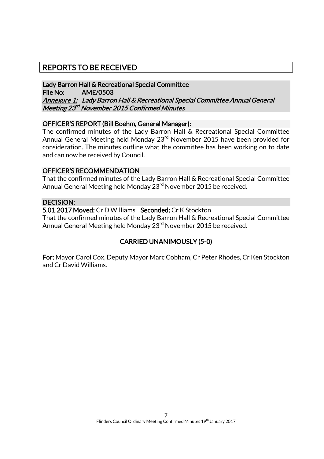# REPORTS TO BE RECEIVED

Lady Barron Hall & Recreational Special Committee File No: AME/0503 Annexure 1: Lady Barron Hall & Recreational Special Committee Annual General Meeting 23<sup>rd</sup> November 2015 Confirmed Minutes

#### OFFICER'S REPORT (Bill Boehm, General Manager):

The confirmed minutes of the Lady Barron Hall & Recreational Special Committee Annual General Meeting held Monday 23rd November 2015 have been provided for consideration. The minutes outline what the committee has been working on to date and can now be received by Council.

#### OFFICER'S RECOMMENDATION

That the confirmed minutes of the Lady Barron Hall & Recreational Special Committee Annual General Meeting held Monday 23<sup>rd</sup> November 2015 be received.

### DECISION:

5.01.2017 Moved: Cr D Williams Seconded: Cr K Stockton

That the confirmed minutes of the Lady Barron Hall & Recreational Special Committee Annual General Meeting held Monday 23<sup>rd</sup> November 2015 be received.

# CARRIED UNANIMOUSLY (5-0)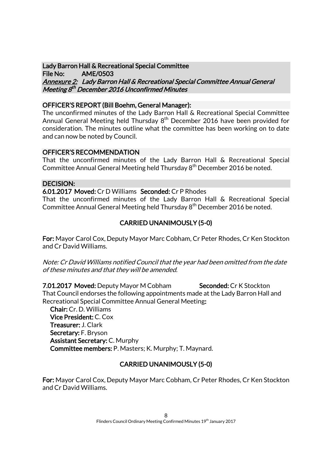Lady Barron Hall & Recreational Special Committee File No: AME/0503 Annexure 2: Lady Barron Hall & Recreational Special Committee Annual General Meeting 8<sup>th</sup> December 2016 Unconfirmed Minutes

#### OFFICER'S REPORT (Bill Boehm, General Manager):

The unconfirmed minutes of the Lady Barron Hall & Recreational Special Committee Annual General Meeting held Thursday 8<sup>th</sup> December 2016 have been provided for consideration. The minutes outline what the committee has been working on to date and can now be noted by Council.

#### OFFICER'S RECOMMENDATION

That the unconfirmed minutes of the Lady Barron Hall & Recreational Special Committee Annual General Meeting held Thursday 8<sup>th</sup> December 2016 be noted.

#### DECISION:

6.01.2017 Moved: Cr D Williams Seconded: Cr P Rhodes That the unconfirmed minutes of the Lady Barron Hall & Recreational Special Committee Annual General Meeting held Thursday 8<sup>th</sup> December 2016 be noted.

# CARRIED UNANIMOUSLY (5-0)

For: Mayor Carol Cox, Deputy Mayor Marc Cobham, Cr Peter Rhodes, Cr Ken Stockton and Cr David Williams.

Note: Cr David Williams notified Council that the year had been omitted from the date of these minutes and that they will be amended.

7.01.2017 Moved: Deputy Mayor M Cobham Seconded: Cr K Stockton That Council endorses the following appointments made at the Lady Barron Hall and Recreational Special Committee Annual General Meeting:

Chair: Cr. D. Williams Vice President: C. Cox Treasurer: J. Clark Secretary: F. Bryson Assistant Secretary: C. Murphy Committee members: P. Masters; K. Murphy; T. Maynard.

# CARRIED UNANIMOUSLY (5-0)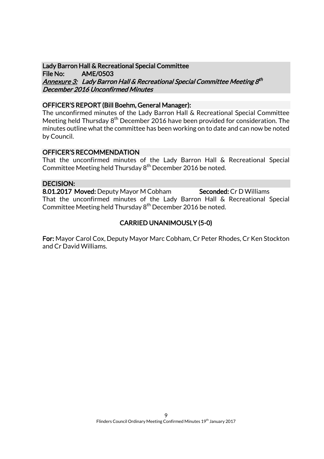Lady Barron Hall & Recreational Special Committee File No: AME/0503 <u>Annexure 3:</u> Lady Barron Hall & Recreational Special Committee Meeting 8th December 2016 Unconfirmed Minutes

#### OFFICER'S REPORT (Bill Boehm, General Manager):

The unconfirmed minutes of the Lady Barron Hall & Recreational Special Committee Meeting held Thursday 8<sup>th</sup> December 2016 have been provided for consideration. The minutes outline what the committee has been working on to date and can now be noted by Council.

#### OFFICER'S RECOMMENDATION

That the unconfirmed minutes of the Lady Barron Hall & Recreational Special Committee Meeting held Thursday 8<sup>th</sup> December 2016 be noted.

#### DECISION:

8.01.2017 Moved: Deputy Mayor M Cobham Seconded: Cr D Williams That the unconfirmed minutes of the Lady Barron Hall & Recreational Special Committee Meeting held Thursday 8<sup>th</sup> December 2016 be noted.

#### CARRIED UNANIMOUSLY (5-0)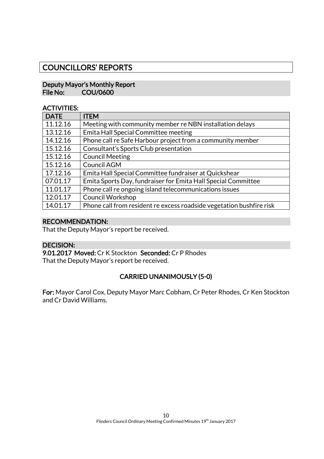# COUNCILLORS' REPORTS

#### Deputy Mayor's Monthly Report File No: COU/0600

#### ACTIVITIES:

| <b>DATE</b> | <b>ITEM</b>                                                          |
|-------------|----------------------------------------------------------------------|
| 11.12.16    | Meeting with community member re NBN installation delays             |
| 13.12.16    | Emita Hall Special Committee meeting                                 |
| 14.12.16    | Phone call re Safe Harbour project from a community member           |
| 15.12.16    | Consultant's Sports Club presentation                                |
| 15.12.16    | <b>Council Meeting</b>                                               |
| 15.12.16    | Council AGM                                                          |
| 17.12.16    | Emita Hall Special Committee fundraiser at Quickshear                |
| 07.01.17    | Emita Sports Day, fundraiser for Emita Hall Special Committee        |
| 11.01.17    | Phone call re ongoing island telecommunications issues               |
| 12.01.17    | <b>Council Workshop</b>                                              |
| 14.01.17    | Phone call from resident re excess roadside vegetation bushfire risk |

#### RECOMMENDATION:

That the Deputy Mayor's report be received.

#### DECISION:

9.01.2017 Moved: Cr K Stockton Seconded: Cr P Rhodes That the Deputy Mayor's report be received.

# CARRIED UNANIMOUSLY (5-0)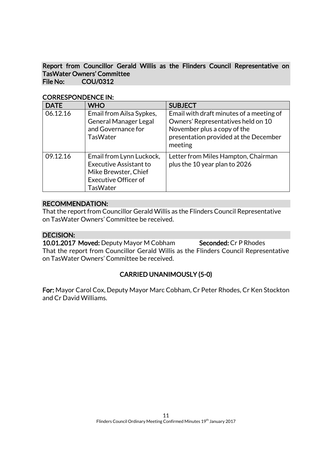Report from Councillor Gerald Willis as the Flinders Council Representative on TasWater Owners' Committee File No: COU/0312

| <b>DATE</b> | <b>WHO</b>                                                                                                                          | <b>SUBJECT</b>                                                                                                                                                    |
|-------------|-------------------------------------------------------------------------------------------------------------------------------------|-------------------------------------------------------------------------------------------------------------------------------------------------------------------|
| 06.12.16    | Email from Ailsa Sypkes,<br><b>General Manager Legal</b><br>and Governance for<br><b>TasWater</b>                                   | Email with draft minutes of a meeting of<br>Owners' Representatives held on 10<br>November plus a copy of the<br>presentation provided at the December<br>meeting |
| 09.12.16    | Email from Lynn Luckock,<br><b>Executive Assistant to</b><br>Mike Brewster, Chief<br><b>Executive Officer of</b><br><b>TasWater</b> | Letter from Miles Hampton, Chairman<br>plus the 10 year plan to 2026                                                                                              |

#### CORRESPONDENCE IN:

#### RECOMMENDATION:

That the report from Councillor Gerald Willis as the Flinders Council Representative on TasWater Owners' Committee be received.

#### DECISION:

10.01.2017 Moved: Deputy Mayor M Cobham Seconded: Cr P Rhodes That the report from Councillor Gerald Willis as the Flinders Council Representative on TasWater Owners' Committee be received.

#### CARRIED UNANIMOUSLY (5-0)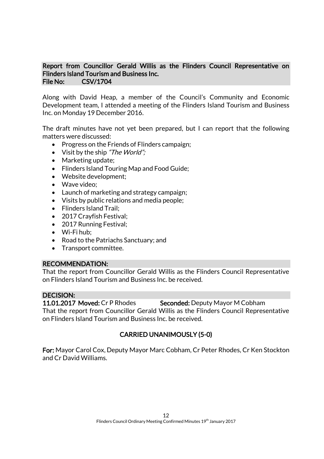#### Report from Councillor Gerald Willis as the Flinders Council Representative on Flinders Island Tourism and Business Inc. File No: CSV/1704

Along with David Heap, a member of the Council's Community and Economic Development team, I attended a meeting of the Flinders Island Tourism and Business Inc. on Monday 19 December 2016.

The draft minutes have not yet been prepared, but I can report that the following matters were discussed:

- Progress on the Friends of Flinders campaign;
- Visit by the ship "The World";
- Marketing update;
- Flinders Island Touring Map and Food Guide;
- Website development;
- Wave video:
- Launch of marketing and strategy campaign;
- Visits by public relations and media people;
- Flinders Island Trail:
- 2017 Crayfish Festival;
- 2017 Running Festival;
- Wi-Fi hub:
- Road to the Patriachs Sanctuary; and
- Transport committee.

#### RECOMMENDATION:

That the report from Councillor Gerald Willis as the Flinders Council Representative on Flinders Island Tourism and Business Inc. be received.

#### DECISION:

11.01.2017 Moved: Cr P Rhodes Seconded: Deputy Mayor M Cobham That the report from Councillor Gerald Willis as the Flinders Council Representative on Flinders Island Tourism and Business Inc. be received.

# CARRIED UNANIMOUSLY (5-0)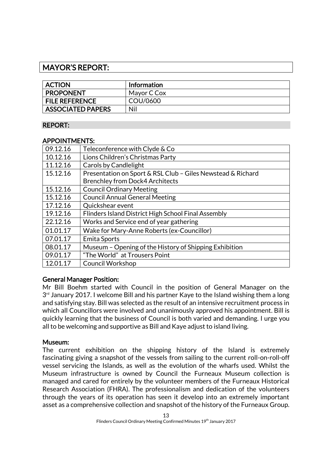# MAYOR'S REPORT:

| <b>ACTION</b>            | <b>Information</b> |
|--------------------------|--------------------|
| <b>PROPONENT</b>         | Mayor C Cox        |
| <b>FILE REFERENCE</b>    | COU/0600           |
| <b>ASSOCIATED PAPERS</b> | Nil                |

#### REPORT:

#### APPOINTMENTS:

| 09.12.16 | Teleconference with Clyde & Co                              |
|----------|-------------------------------------------------------------|
| 10.12.16 | Lions Children's Christmas Party                            |
| 11.12.16 | <b>Carols by Candlelight</b>                                |
| 15.12.16 | Presentation on Sport & RSL Club - Giles Newstead & Richard |
|          | <b>Brenchley from Dock4 Architects</b>                      |
| 15.12.16 | <b>Council Ordinary Meeting</b>                             |
| 15.12.16 | <b>Council Annual General Meeting</b>                       |
| 17.12.16 | Quickshear event                                            |
| 19.12.16 | Flinders Island District High School Final Assembly         |
| 22.12.16 | Works and Service end of year gathering                     |
| 01.01.17 | Wake for Mary-Anne Roberts (ex-Councillor)                  |
| 07.01.17 | <b>Emita Sports</b>                                         |
| 08.01.17 | Museum - Opening of the History of Shipping Exhibition      |
| 09.01.17 | "The World" at Trousers Point                               |
| 12.01.17 | <b>Council Workshop</b>                                     |

#### General Manager Position:

Mr Bill Boehm started with Council in the position of General Manager on the  $3<sup>rd</sup>$  January 2017. I welcome Bill and his partner Kaye to the Island wishing them a long and satisfying stay. Bill was selected as the result of an intensive recruitment process in which all Councillors were involved and unanimously approved his appointment. Bill is quickly learning that the business of Council is both varied and demanding. I urge you all to be welcoming and supportive as Bill and Kaye adjust to island living.

#### Museum:

The current exhibition on the shipping history of the Island is extremely fascinating giving a snapshot of the vessels from sailing to the current roll-on-roll-off vessel servicing the Islands, as well as the evolution of the wharfs used. Whilst the Museum infrastructure is owned by Council the Furneaux Museum collection is managed and cared for entirely by the volunteer members of the Furneaux Historical Research Association (FHRA). The professionalism and dedication of the volunteers through the years of its operation has seen it develop into an extremely important asset as a comprehensive collection and snapshot of the history of the Furneaux Group.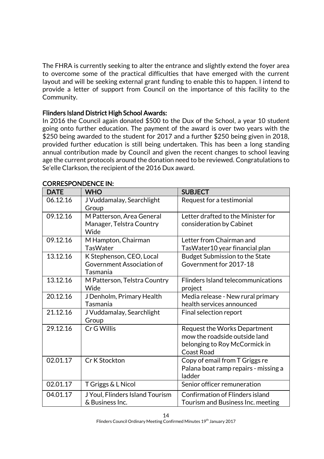The FHRA is currently seeking to alter the entrance and slightly extend the foyer area to overcome some of the practical difficulties that have emerged with the current layout and will be seeking external grant funding to enable this to happen. I intend to provide a letter of support from Council on the importance of this facility to the Community.

#### Flinders Island District High School Awards:

In 2016 the Council again donated \$500 to the Dux of the School, a year 10 student going onto further education. The payment of the award is over two years with the \$250 being awarded to the student for 2017 and a further \$250 being given in 2018, provided further education is still being undertaken. This has been a long standing annual contribution made by Council and given the recent changes to school leaving age the current protocols around the donation need to be reviewed. Congratulations to Se'elle Clarkson, the recipient of the 2016 Dux award.

| <b>DATE</b> | <b>WHO</b>                                                        | <b>SUBJECT</b>                                                                                                      |
|-------------|-------------------------------------------------------------------|---------------------------------------------------------------------------------------------------------------------|
| 06.12.16    | J Vuddamalay, Searchlight<br>Group                                | Request for a testimonial                                                                                           |
| 09.12.16    | M Patterson, Area General<br>Manager, Telstra Country<br>Wide     | Letter drafted to the Minister for<br>consideration by Cabinet                                                      |
| 09.12.16    | M Hampton, Chairman<br><b>TasWater</b>                            | Letter from Chairman and<br>TasWater10 year financial plan                                                          |
| 13.12.16    | K Stephenson, CEO, Local<br>Government Association of<br>Tasmania | Budget Submission to the State<br>Government for 2017-18                                                            |
| 13.12.16    | M Patterson, Telstra Country<br>Wide                              | Flinders Island telecommunications<br>project                                                                       |
| 20.12.16    | J Denholm, Primary Health<br>Tasmania                             | Media release - New rural primary<br>health services announced                                                      |
| 21.12.16    | J Vuddamalay, Searchlight<br>Group                                | Final selection report                                                                                              |
| 29.12.16    | Cr G Willis                                                       | Request the Works Department<br>mow the roadside outside land<br>belonging to Roy McCormick in<br><b>Coast Road</b> |
| 02.01.17    | Cr K Stockton                                                     | Copy of email from T Griggs re<br>Palana boat ramp repairs - missing a<br>ladder                                    |
| 02.01.17    | T Griggs & L Nicol                                                | Senior officer remuneration                                                                                         |
| 04.01.17    | J Youl, Flinders Island Tourism<br>& Business Inc.                | <b>Confirmation of Flinders island</b><br>Tourism and Business Inc. meeting                                         |

# CORRESPONDENCE IN: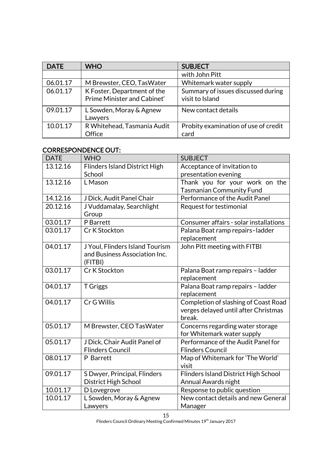| <b>DATE</b> | <b>WHO</b>                                                 | <b>SUBJECT</b>                                        |
|-------------|------------------------------------------------------------|-------------------------------------------------------|
|             |                                                            | with John Pitt                                        |
| 06.01.17    | M Brewster, CEO, Tas Water                                 | Whitemark water supply                                |
| 06.01.17    | K Foster, Department of the<br>Prime Minister and Cabinet' | Summary of issues discussed during<br>visit to Island |
| 09.01.17    | L Sowden, Moray & Agnew<br>Lawyers                         | New contact details                                   |
| 10.01.17    | R Whitehead, Tasmania Audit<br>Office                      | Probity examination of use of credit<br>card          |

# CORRESPONDENCE OUT:

| <b>DATE</b> | <b>WHO</b>                           | <b>SUBJECT</b>                         |
|-------------|--------------------------------------|----------------------------------------|
| 13.12.16    | <b>Flinders Island District High</b> | Acceptance of invitation to            |
|             | School                               | presentation evening                   |
| 13.12.16    | L Mason                              | Thank you for your work on the         |
|             |                                      | Tasmanian Community Fund               |
| 14.12.16    | J Dick, Audit Panel Chair            | Performance of the Audit Panel         |
| 20.12.16    | J Vuddamalay, Searchlight            | Request for testimonial                |
|             | Group                                |                                        |
| 03.01.17    | P Barrett                            | Consumer affairs - solar installations |
| 03.01.17    | Cr K Stockton                        | Palana Boat ramp repairs-ladder        |
|             |                                      | replacement                            |
| 04.01.17    | J Youl, Flinders Island Tourism      | John Pitt meeting with FITBI           |
|             | and Business Association Inc.        |                                        |
|             | (FITBI)                              |                                        |
| 03.01.17    | Cr K Stockton                        | Palana Boat ramp repairs - ladder      |
|             |                                      | replacement                            |
| 04.01.17    | <b>T</b> Griggs                      | Palana Boat ramp repairs - ladder      |
|             |                                      | replacement                            |
| 04.01.17    | Cr G Willis                          | Completion of slashing of Coast Road   |
|             |                                      | verges delayed until after Christmas   |
|             |                                      | break.                                 |
| 05.01.17    | M Brewster, CEO TasWater             | Concerns regarding water storage       |
|             |                                      | for Whitemark water supply             |
| 05.01.17    | J Dick, Chair Audit Panel of         | Performance of the Audit Panel for     |
|             | <b>Flinders Council</b>              | <b>Flinders Council</b>                |
| 08.01.17    | P Barrett                            | Map of Whitemark for 'The World'       |
|             |                                      | visit                                  |
| 09.01.17    | S Dwyer, Principal, Flinders         | Flinders Island District High School   |
|             | District High School                 | Annual Awards night                    |
| 10.01.17    | D Lovegrove                          | Response to public question            |
| 10.01.17    | L Sowden, Moray & Agnew              | New contact details and new General    |
|             | Lawyers                              | Manager                                |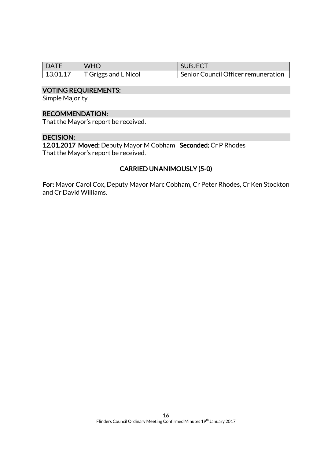| l DATE | <b>WHO</b>                           | SUBJECT                             |
|--------|--------------------------------------|-------------------------------------|
|        | 13.01.17 $\mid$ T Griggs and L Nicol | Senior Council Officer remuneration |

### VOTING REQUIREMENTS:

Simple Majority

#### RECOMMENDATION:

That the Mayor's report be received.

#### DECISION:

12.01.2017 Moved: Deputy Mayor M Cobham Seconded: Cr P Rhodes That the Mayor's report be received.

#### CARRIED UNANIMOUSLY (5-0)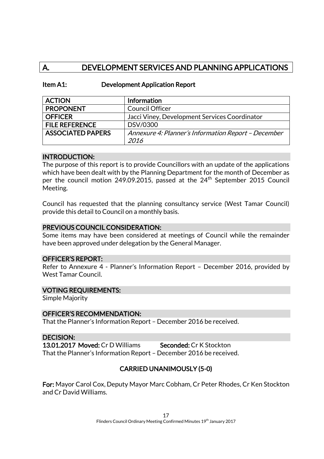# A. DEVELOPMENT SERVICES AND PLANNING APPLICATIONS

#### Item A1: Development Application Report

| <b>ACTION</b>            | Information                                         |
|--------------------------|-----------------------------------------------------|
| <b>PROPONENT</b>         | <b>Council Officer</b>                              |
| <b>OFFICER</b>           | Jacci Viney, Development Services Coordinator       |
| <b>FILE REFERENCE</b>    | DSV/0300                                            |
| <b>ASSOCIATED PAPERS</b> | Annexure 4: Planner's Information Report - December |
|                          | 2016                                                |

#### INTRODUCTION:

The purpose of this report is to provide Councillors with an update of the applications which have been dealt with by the Planning Department for the month of December as per the council motion 249.09.2015, passed at the  $24<sup>th</sup>$  September 2015 Council Meeting.

Council has requested that the planning consultancy service (West Tamar Council) provide this detail to Council on a monthly basis.

#### PREVIOUS COUNCIL CONSIDERATION:

Some items may have been considered at meetings of Council while the remainder have been approved under delegation by the General Manager.

#### OFFICER'S REPORT:

Refer to Annexure 4 - Planner's Information Report – December 2016, provided by West Tamar Council.

#### VOTING REQUIREMENTS:

Simple Majority

#### OFFICER'S RECOMMENDATION:

That the Planner's Information Report – December 2016 be received.

DECISION: 13.01.2017 Moved: Cr D Williams Seconded: Cr K Stockton That the Planner's Information Report – December 2016 be received.

#### CARRIED UNANIMOUSLY (5-0)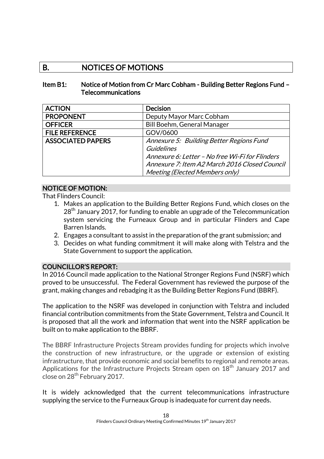# B. NOTICES OF MOTIONS

#### Item B1: Notice of Motion from Cr Marc Cobham - Building Better Regions Fund – Telecommunications

| <b>ACTION</b>            | <b>Decision</b>                                 |
|--------------------------|-------------------------------------------------|
| <b>PROPONENT</b>         | Deputy Mayor Marc Cobham                        |
| <b>OFFICER</b>           | Bill Boehm, General Manager                     |
| <b>FILE REFERENCE</b>    | GOV/0600                                        |
| <b>ASSOCIATED PAPERS</b> | Annexure 5: Building Better Regions Fund        |
|                          | <b>Guidelines</b>                               |
|                          | Annexure 6: Letter - No free Wi-Fi for Flinders |
|                          | Annexure 7: Item A2 March 2016 Closed Council   |
|                          | Meeting (Elected Members only)                  |

# NOTICE OF MOTION:

That Flinders Council:

- 1. Makes an application to the Building Better Regions Fund, which closes on the 28<sup>th</sup> January 2017, for funding to enable an upgrade of the Telecommunication system servicing the Furneaux Group and in particular Flinders and Cape Barren Islands.
- 2. Engages a consultant to assist in the preparation of the grant submission; and
- 3. Decides on what funding commitment it will make along with Telstra and the State Government to support the application.

#### COUNCILLOR'S REPORT:

In 2016 Council made application to the National Stronger Regions Fund (NSRF) which proved to be unsuccessful. The Federal Government has reviewed the purpose of the grant, making changes and rebadging it as the Building Better Regions Fund (BBRF).

The application to the NSRF was developed in conjunction with Telstra and included financial contribution commitments from the State Government, Telstra and Council. It is proposed that all the work and information that went into the NSRF application be built on to make application to the BBRF.

The BBRF Infrastructure Projects Stream provides funding for projects which involve the construction of new infrastructure, or the upgrade or extension of existing infrastructure, that provide economic and social benefits to regional and remote areas. Applications for the Infrastructure Projects Stream open on  $18<sup>th</sup>$  January 2017 and close on 28<sup>th</sup> February 2017.

It is widely acknowledged that the current telecommunications infrastructure supplying the service to the Furneaux Group is inadequate for current day needs.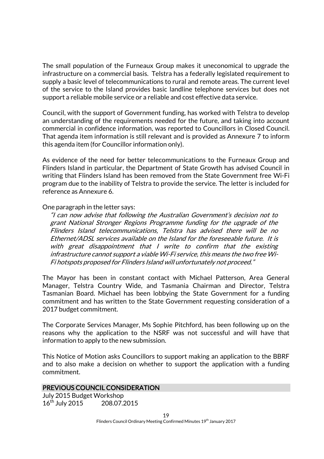The small population of the Furneaux Group makes it uneconomical to upgrade the infrastructure on a commercial basis. Telstra has a federally legislated requirement to supply a basic level of telecommunications to rural and remote areas. The current level of the service to the Island provides basic landline telephone services but does not support a reliable mobile service or a reliable and cost effective data service.

Council, with the support of Government funding, has worked with Telstra to develop an understanding of the requirements needed for the future, and taking into account commercial in confidence information, was reported to Councillors in Closed Council. That agenda item information is still relevant and is provided as Annexure 7 to inform this agenda item (for Councillor information only).

As evidence of the need for better telecommunications to the Furneaux Group and Flinders Island in particular, the Department of State Growth has advised Council in writing that Flinders Island has been removed from the State Government free Wi-Fi program due to the inability of Telstra to provide the service. The letter is included for reference as Annexure 6.

One paragraph in the letter says:

"I can now advise that following the Australian Government's decision not to grant National Stronger Regions Programme funding for the upgrade of the Flinders Island telecommunications, Telstra has advised there will be no Ethernet/ADSL services available on the Island for the foreseeable future. It is with great disappointment that I write to confirm that the existing infrastructure cannot support a viable Wi-Fi service, this means the two free Wi-Fi hotspots proposed for Flinders Island will unfortunately not proceed."

The Mayor has been in constant contact with Michael Patterson, Area General Manager, Telstra Country Wide, and Tasmania Chairman and Director, Telstra Tasmanian Board. Michael has been lobbying the State Government for a funding commitment and has written to the State Government requesting consideration of a 2017 budget commitment.

The Corporate Services Manager, Ms Sophie Pitchford, has been following up on the reasons why the application to the NSRF was not successful and will have that information to apply to the new submission.

This Notice of Motion asks Councillors to support making an application to the BBRF and to also make a decision on whether to support the application with a funding commitment.

#### PREVIOUS COUNCIL CONSIDERATION

July 2015 Budget Workshop 16<sup>th</sup> July 2015 208.07.2015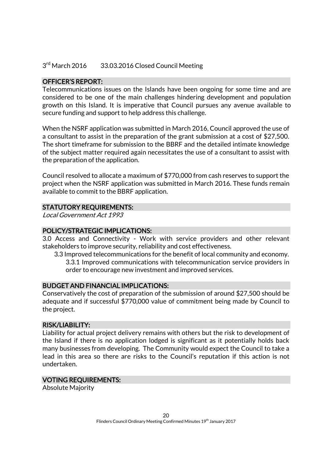#### $3<sup>rd</sup>$  March 2016 33.03.2016 Closed Council Meeting

#### OFFICER'S REPORT:

Telecommunications issues on the Islands have been ongoing for some time and are considered to be one of the main challenges hindering development and population growth on this Island. It is imperative that Council pursues any avenue available to secure funding and support to help address this challenge.

When the NSRF application was submitted in March 2016, Council approved the use of a consultant to assist in the preparation of the grant submission at a cost of \$27,500. The short timeframe for submission to the BBRF and the detailed intimate knowledge of the subject matter required again necessitates the use of a consultant to assist with the preparation of the application.

Council resolved to allocate a maximum of \$770,000 from cash reserves to support the project when the NSRF application was submitted in March 2016. These funds remain available to commit to the BBRF application.

#### STATUTORY REQUIREMENTS:

Local Government Act 1993

#### POLICY/STRATEGIC IMPLICATIONS:

3.0 Access and Connectivity - Work with service providers and other relevant stakeholders to improve security, reliability and cost effectiveness.

3.3 Improved telecommunications for the benefit of local community and economy.

3.3.1 Improved communications with telecommunication service providers in order to encourage new investment and improved services.

#### BUDGET AND FINANCIAL IMPLICATIONS:

Conservatively the cost of preparation of the submission of around \$27,500 should be adequate and if successful \$770,000 value of commitment being made by Council to the project.

#### RISK/LIABILITY:

Liability for actual project delivery remains with others but the risk to development of the Island if there is no application lodged is significant as it potentially holds back many businesses from developing. The Community would expect the Council to take a lead in this area so there are risks to the Council's reputation if this action is not undertaken.

#### VOTING REQUIREMENTS:

Absolute Majority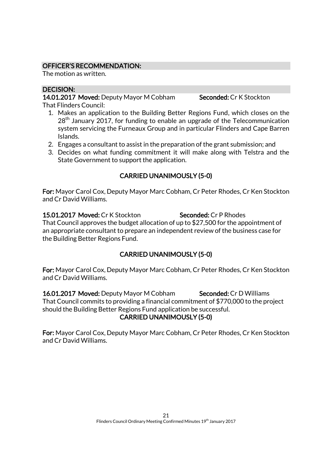#### OFFICER'S RECOMMENDATION:

The motion as written.

### DECISION:

14.01.2017 Moved: Deputy Mayor M Cobham Seconded: Cr K Stockton That Flinders Council:

- 1. Makes an application to the Building Better Regions Fund, which closes on the 28<sup>th</sup> January 2017, for funding to enable an upgrade of the Telecommunication system servicing the Furneaux Group and in particular Flinders and Cape Barren Islands.
- 2. Engages a consultant to assist in the preparation of the grant submission; and
- 3. Decides on what funding commitment it will make along with Telstra and the State Government to support the application.

# CARRIED UNANIMOUSLY (5-0)

For: Mayor Carol Cox, Deputy Mayor Marc Cobham, Cr Peter Rhodes, Cr Ken Stockton and Cr David Williams.

15.01.2017 Moved: Cr K Stockton Seconded: Cr P Rhodes That Council approves the budget allocation of up to \$27,500 for the appointment of an appropriate consultant to prepare an independent review of the business case for the Building Better Regions Fund.

# CARRIED UNANIMOUSLY (5-0)

For: Mayor Carol Cox, Deputy Mayor Marc Cobham, Cr Peter Rhodes, Cr Ken Stockton and Cr David Williams.

16.01.2017 Moved: Deputy Mayor M Cobham Seconded: Cr D Williams That Council commits to providing a financial commitment of \$770,000 to the project should the Building Better Regions Fund application be successful. CARRIED UNANIMOUSLY (5-0)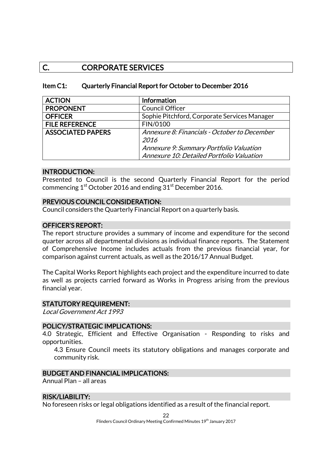# C. CORPORATE SERVICES

#### Item C1: Quarterly Financial Report for October to December 2016

| <b>ACTION</b>            | <b>Information</b>                                          |  |
|--------------------------|-------------------------------------------------------------|--|
| <b>PROPONENT</b>         | <b>Council Officer</b>                                      |  |
| <b>OFFICER</b>           | Sophie Pitchford, Corporate Services Manager                |  |
| <b>FILE REFERENCE</b>    | FIN/0100                                                    |  |
| <b>ASSOCIATED PAPERS</b> | Annexure 8: Financials - October to December<br><i>2016</i> |  |
|                          | Annexure 9: Summary Portfolio Valuation                     |  |
|                          | Annexure 10: Detailed Portfolio Valuation                   |  |

#### INTRODUCTION:

Presented to Council is the second Quarterly Financial Report for the period commencing  $1<sup>st</sup>$  October 2016 and ending  $31<sup>st</sup>$  December 2016.

#### PREVIOUS COUNCIL CONSIDERATION:

Council considers the Quarterly Financial Report on a quarterly basis.

#### OFFICER'S REPORT:

The report structure provides a summary of income and expenditure for the second quarter across all departmental divisions as individual finance reports. The Statement of Comprehensive Income includes actuals from the previous financial year, for comparison against current actuals, as well as the 2016/17 Annual Budget.

The Capital Works Report highlights each project and the expenditure incurred to date as well as projects carried forward as Works in Progress arising from the previous financial year.

#### STATUTORY REQUIREMENT:

Local Government Act 1993

#### POLICY/STRATEGIC IMPLICATIONS:

4.0 Strategic, Efficient and Effective Organisation - Responding to risks and opportunities.

4.3 Ensure Council meets its statutory obligations and manages corporate and community risk.

#### BUDGET AND FINANCIAL IMPLICATIONS:

Annual Plan – all areas

#### RISK/LIABILITY:

No foreseen risks or legal obligations identified as a result of the financial report.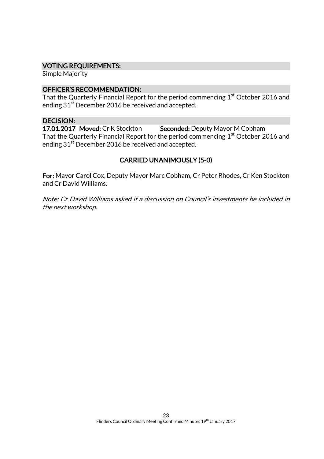#### VOTING REQUIREMENTS:

Simple Majority

#### OFFICER'S RECOMMENDATION:

That the Quarterly Financial Report for the period commencing  $1<sup>st</sup>$  October 2016 and ending 31<sup>st</sup> December 2016 be received and accepted.

#### DECISION:

17.01.2017 Moved: Cr K Stockton Seconded: Deputy Mayor M Cobham That the Quarterly Financial Report for the period commencing 1<sup>st</sup> October 2016 and ending 31<sup>st</sup> December 2016 be received and accepted.

#### CARRIED UNANIMOUSLY (5-0)

For: Mayor Carol Cox, Deputy Mayor Marc Cobham, Cr Peter Rhodes, Cr Ken Stockton and Cr David Williams.

Note: Cr David Williams asked if a discussion on Council's investments be included in the next workshop.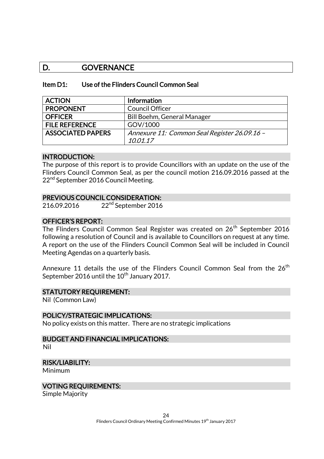# D. GOVERNANCE

#### Item D1: Use of the Flinders Council Common Seal

| <b>ACTION</b>            | <b>Information</b>                           |
|--------------------------|----------------------------------------------|
| <b>PROPONENT</b>         | <b>Council Officer</b>                       |
| <b>OFFICER</b>           | Bill Boehm, General Manager                  |
| <b>FILE REFERENCE</b>    | GOV/1000                                     |
| <b>ASSOCIATED PAPERS</b> | Annexure 11: Common Seal Register 26.09.16 - |
|                          | 10.01.17                                     |

#### INTRODUCTION:

The purpose of this report is to provide Councillors with an update on the use of the Flinders Council Common Seal, as per the council motion 216.09.2016 passed at the 22<sup>nd</sup> September 2016 Council Meeting.

#### PREVIOUS COUNCIL CONSIDERATION:

216.09.2016 22<sup>nd</sup> September 2016

#### OFFICER'S REPORT:

The Flinders Council Common Seal Register was created on 26<sup>th</sup> September 2016 following a resolution of Council and is available to Councillors on request at any time. A report on the use of the Flinders Council Common Seal will be included in Council Meeting Agendas on a quarterly basis.

Annexure 11 details the use of the Flinders Council Common Seal from the  $26<sup>th</sup>$ September 2016 until the 10<sup>th</sup> January 2017.

#### STATUTORY REQUIREMENT:

Nil (Common Law)

#### POLICY/STRATEGIC IMPLICATIONS:

No policy exists on this matter. There are no strategic implications

# BUDGET AND FINANCIAL IMPLICATIONS:

Nil

#### RISK/LIABILITY:

Minimum

#### VOTING REQUIREMENTS:

Simple Majority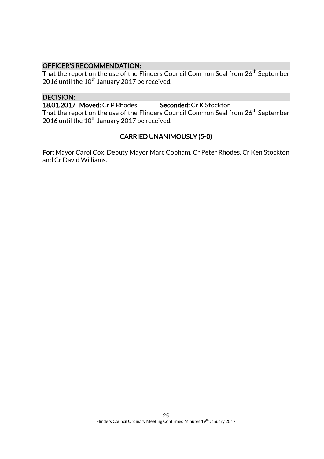### OFFICER'S RECOMMENDATION:

That the report on the use of the Flinders Council Common Seal from 26<sup>th</sup> September 2016 until the  $10^{th}$  January 2017 be received.

#### DECISION:

18.01.2017 Moved: Cr P Rhodes Seconded: Cr K Stockton That the report on the use of the Flinders Council Common Seal from 26<sup>th</sup> September 2016 until the  $10^{th}$  January 2017 be received.

# CARRIED UNANIMOUSLY (5-0)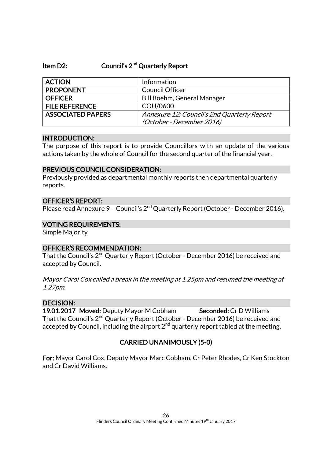# Item D2: Council's 2<sup>nd</sup> Quarterly Report

| <b>ACTION</b>            | Information                                 |
|--------------------------|---------------------------------------------|
| <b>PROPONENT</b>         | <b>Council Officer</b>                      |
| <b>OFFICER</b>           | Bill Boehm, General Manager                 |
| <b>FILE REFERENCE</b>    | COU/0600                                    |
| <b>ASSOCIATED PAPERS</b> | Annexure 12: Council's 2nd Quarterly Report |
|                          | (October - December 2016)                   |

#### INTRODUCTION:

The purpose of this report is to provide Councillors with an update of the various actions taken by the whole of Council for the second quarter of the financial year.

#### PREVIOUS COUNCIL CONSIDERATION:

Previously provided as departmental monthly reports then departmental quarterly reports.

#### OFFICER'S REPORT:

Please read Annexure 9 - Council's 2<sup>nd</sup> Quarterly Report (October - December 2016).

#### VOTING REQUIREMENTS:

Simple Majority

#### OFFICER'S RECOMMENDATION:

That the Council's 2<sup>nd</sup> Quarterly Report (October - December 2016) be received and accepted by Council.

Mayor Carol Cox called a break in the meeting at 1.25pm and resumed the meeting at 1.27pm.

# DECISION:

19.01.2017 Moved: Deputy Mayor M Cobham Seconded: Cr D Williams That the Council's 2<sup>nd</sup> Quarterly Report (October - December 2016) be received and accepted by Council, including the airport  $2<sup>nd</sup>$  quarterly report tabled at the meeting.

# CARRIED UNANIMOUSLY (5-0)